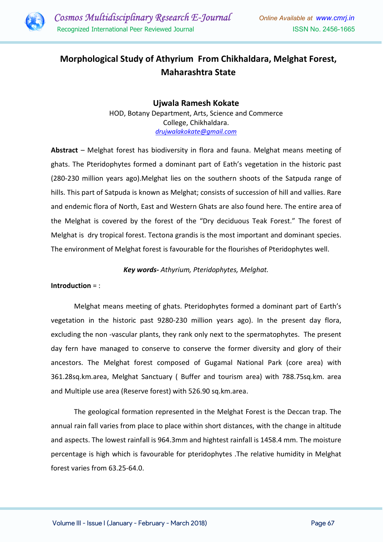

# Morphological Study of Athyrium From Chikhaldara, Melghat Forest, Maharashtra State

Ujwala Ramesh Kokate HOD, Botany Department, Arts, Science and Commerce College, Chikhaldara. drujwalakokate@gmail.com

Abstract – Melghat forest has biodiversity in flora and fauna. Melghat means meeting of ghats. The Pteridophytes formed a dominant part of Eath's vegetation in the historic past (280-230 million years ago).Melghat lies on the southern shoots of the Satpuda range of hills. This part of Satpuda is known as Melghat; consists of succession of hill and vallies. Rare and endemic flora of North, East and Western Ghats are also found here. The entire area of the Melghat is covered by the forest of the "Dry deciduous Teak Forest." The forest of Melghat is dry tropical forest. Tectona grandis is the most important and dominant species. The environment of Melghat forest is favourable for the flourishes of Pteridophytes well.

## Key words- Athyrium, Pteridophytes, Melghat.

## Introduction = :

Melghat means meeting of ghats. Pteridophytes formed a dominant part of Earth's vegetation in the historic past 9280-230 million years ago). In the present day flora, excluding the non -vascular plants, they rank only next to the spermatophytes. The present day fern have managed to conserve to conserve the former diversity and glory of their ancestors. The Melghat forest composed of Gugamal National Park (core area) with 361.28sq.km.area, Melghat Sanctuary ( Buffer and tourism area) with 788.75sq.km. area and Multiple use area (Reserve forest) with 526.90 sq.km.area.

The geological formation represented in the Melghat Forest is the Deccan trap. The annual rain fall varies from place to place within short distances, with the change in altitude and aspects. The lowest rainfall is 964.3mm and hightest rainfall is 1458.4 mm. The moisture percentage is high which is favourable for pteridophytes .The relative humidity in Melghat forest varies from 63.25-64.0.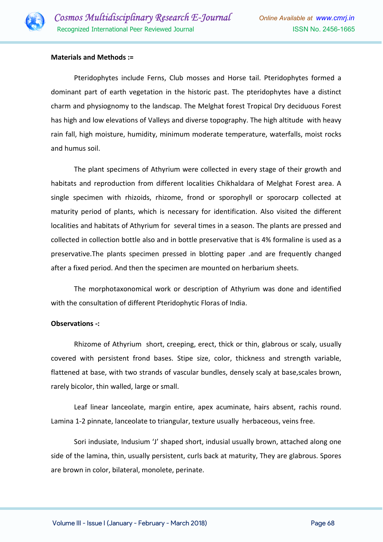

#### Materials and Methods :=

Pteridophytes include Ferns, Club mosses and Horse tail. Pteridophytes formed a dominant part of earth vegetation in the historic past. The pteridophytes have a distinct charm and physiognomy to the landscap. The Melghat forest Tropical Dry deciduous Forest has high and low elevations of Valleys and diverse topography. The high altitude with heavy rain fall, high moisture, humidity, minimum moderate temperature, waterfalls, moist rocks and humus soil.

The plant specimens of Athyrium were collected in every stage of their growth and habitats and reproduction from different localities Chikhaldara of Melghat Forest area. A single specimen with rhizoids, rhizome, frond or sporophyll or sporocarp collected at maturity period of plants, which is necessary for identification. Also visited the different localities and habitats of Athyrium for several times in a season. The plants are pressed and collected in collection bottle also and in bottle preservative that is 4% formaline is used as a preservative.The plants specimen pressed in blotting paper .and are frequently changed after a fixed period. And then the specimen are mounted on herbarium sheets.

The morphotaxonomical work or description of Athyrium was done and identified with the consultation of different Pteridophytic Floras of India.

#### Observations -:

Rhizome of Athyrium short, creeping, erect, thick or thin, glabrous or scaly, usually covered with persistent frond bases. Stipe size, color, thickness and strength variable, flattened at base, with two strands of vascular bundles, densely scaly at base,scales brown, rarely bicolor, thin walled, large or small.

Leaf linear lanceolate, margin entire, apex acuminate, hairs absent, rachis round. Lamina 1-2 pinnate, lanceolate to triangular, texture usually herbaceous, veins free.

Sori indusiate, Indusium 'J' shaped short, indusial usually brown, attached along one side of the lamina, thin, usually persistent, curls back at maturity, They are glabrous. Spores are brown in color, bilateral, monolete, perinate.